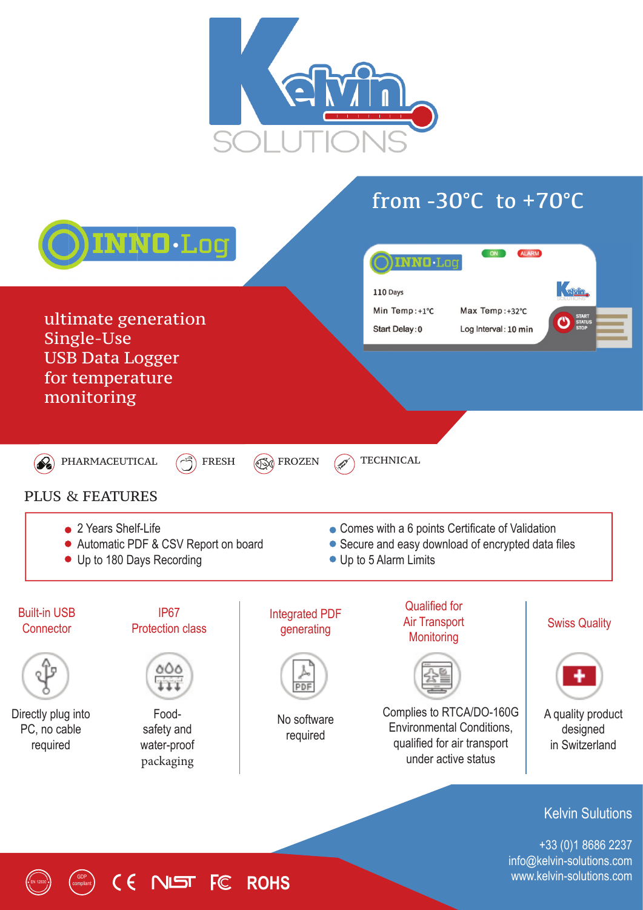

## from  $-30^{\circ}$ C to  $+70^{\circ}$ C



info@kelvin-solutions.com www.kelvin-solutions.com

## GDP compliant EN 12830 **ROHS**